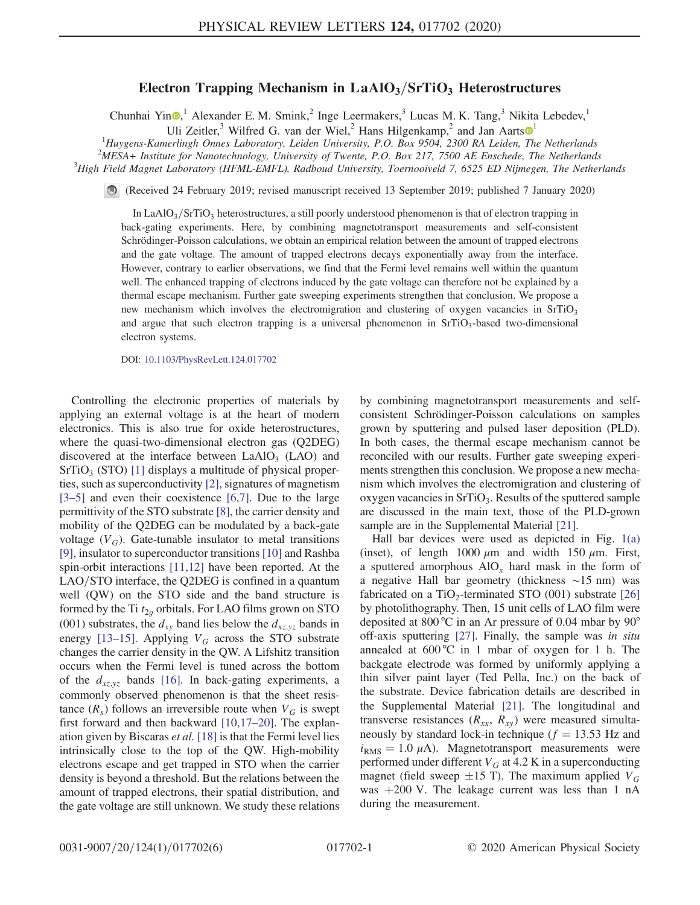## Electron Trapping Mechanism in  $LaAlO<sub>3</sub>/SrTiO<sub>3</sub> Heterostructures$

Chunhai Yin $\mathbf{O}$ ,<sup>1</sup> Alexander E. M. Smink,<sup>2</sup> Inge Leermakers,<sup>3</sup> Lucas M. K. Tang,<sup>3</sup> Nikita Lebedev,<sup>1</sup>

Uli Zeitler,<sup>3</sup> Wilfred G. van der Wiel,<sup>2</sup> Hans Hilgenkamp,<sup>2</sup> and Jan Aarts <sup>[1](https://orcid.org/0000-0002-4113-0835)</sup>

<sup>1</sup>Huygens-Kamerlingh Onnes Laboratory, Leiden University, P.O. Box 9504, 2300 RA Leiden, The Netherlands <sup>2</sup>MESA Leiden, The Netherlands

 $^{2}$ MESA+ Institute for Nanotechnology, University of Twente, P.O. Box 217, 7500 AE Enschede, The Netherlands

 ${}^{3}$ High Field Magnet Laboratory (HFML-EMFL), Radboud University, Toernooiveld 7, 6525 ED Nijmegen, The Netherlands

(Received 24 February 2019; revised manuscript received 13 September 2019; published 7 January 2020)

In LaAlO<sub>3</sub>/SrTiO<sub>3</sub> heterostructures, a still poorly understood phenomenon is that of electron trapping in back-gating experiments. Here, by combining magnetotransport measurements and self-consistent Schrödinger-Poisson calculations, we obtain an empirical relation between the amount of trapped electrons and the gate voltage. The amount of trapped electrons decays exponentially away from the interface. However, contrary to earlier observations, we find that the Fermi level remains well within the quantum well. The enhanced trapping of electrons induced by the gate voltage can therefore not be explained by a thermal escape mechanism. Further gate sweeping experiments strengthen that conclusion. We propose a new mechanism which involves the electromigration and clustering of oxygen vacancies in  $SrTiO<sub>3</sub>$ and argue that such electron trapping is a universal phenomenon in  $SrTiO<sub>3</sub>$ -based two-dimensional electron systems.

DOI: [10.1103/PhysRevLett.124.017702](https://doi.org/10.1103/PhysRevLett.124.017702)

Controlling the electronic properties of materials by applying an external voltage is at the heart of modern electronics. This is also true for oxide heterostructures, where the quasi-two-dimensional electron gas (Q2DEG) discovered at the interface between  $LaAlO<sub>3</sub>$  (LAO) and  $SrTiO<sub>3</sub> (STO)$  [\[1\]](#page-4-0) displays a multitude of physical properties, such as superconductivity [\[2\],](#page-4-1) signatures of magnetism [\[3](#page-4-2)–5] and even their coexistence [\[6,7\]](#page-4-3). Due to the large permittivity of the STO substrate [\[8\]](#page-4-4), the carrier density and mobility of the Q2DEG can be modulated by a back-gate voltage  $(V_G)$ . Gate-tunable insulator to metal transitions [\[9\]](#page-4-5), insulator to superconductor transitions [\[10\]](#page-4-6) and Rashba spin-orbit interactions [\[11,12\]](#page-4-7) have been reported. At the  $LAO/STO$  interface, the Q2DEG is confined in a quantum well (QW) on the STO side and the band structure is formed by the Ti  $t_{2q}$  orbitals. For LAO films grown on STO (001) substrates, the  $d_{xy}$  band lies below the  $d_{xz,yz}$  bands in energy [\[13](#page-4-8)–15]. Applying  $V_G$  across the STO substrate changes the carrier density in the QW. A Lifshitz transition occurs when the Fermi level is tuned across the bottom of the  $d_{xz,yz}$  bands [\[16\].](#page-4-9) In back-gating experiments, a commonly observed phenomenon is that the sheet resistance  $(R_s)$  follows an irreversible route when  $V_G$  is swept first forward and then backward [\[10,17](#page-4-6)–20]. The explanation given by Biscaras et al.  $[18]$  is that the Fermi level lies intrinsically close to the top of the QW. High-mobility electrons escape and get trapped in STO when the carrier density is beyond a threshold. But the relations between the amount of trapped electrons, their spatial distribution, and the gate voltage are still unknown. We study these relations by combining magnetotransport measurements and selfconsistent Schrödinger-Poisson calculations on samples grown by sputtering and pulsed laser deposition (PLD). In both cases, the thermal escape mechanism cannot be reconciled with our results. Further gate sweeping experiments strengthen this conclusion. We propose a new mechanism which involves the electromigration and clustering of oxygen vacancies in  $SrTiO<sub>3</sub>$ . Results of the sputtered sample are discussed in the main text, those of the PLD-grown sample are in the Supplemental Material [\[21\].](#page-4-11)

Hall bar devices were used as depicted in Fig. [1\(a\)](#page-1-0) (inset), of length  $1000 \mu m$  and width  $150 \mu m$ . First, a sputtered amorphous  $AIO<sub>x</sub>$  hard mask in the form of a negative Hall bar geometry (thickness ∼15 nm) was fabricated on a TiO<sub>2</sub>-terminated STO (001) substrate [\[26\]](#page-5-0) by photolithography. Then, 15 unit cells of LAO film were deposited at 800 °C in an Ar pressure of 0.04 mbar by 90° off-axis sputtering [\[27\].](#page-5-1) Finally, the sample was in situ annealed at  $600^{\circ}$ C in 1 mbar of oxygen for 1 h. The backgate electrode was formed by uniformly applying a thin silver paint layer (Ted Pella, Inc.) on the back of the substrate. Device fabrication details are described in the Supplemental Material [\[21\]](#page-4-11). The longitudinal and transverse resistances  $(R_{xx}, R_{xy})$  were measured simultaneously by standard lock-in technique ( $f = 13.53$  Hz and  $i_{RMS} = 1.0 \mu A$ ). Magnetotransport measurements were performed under different  $V_G$  at 4.2 K in a superconducting magnet (field sweep  $\pm 15$  T). The maximum applied  $V_G$ was  $+200$  V. The leakage current was less than 1 nA during the measurement.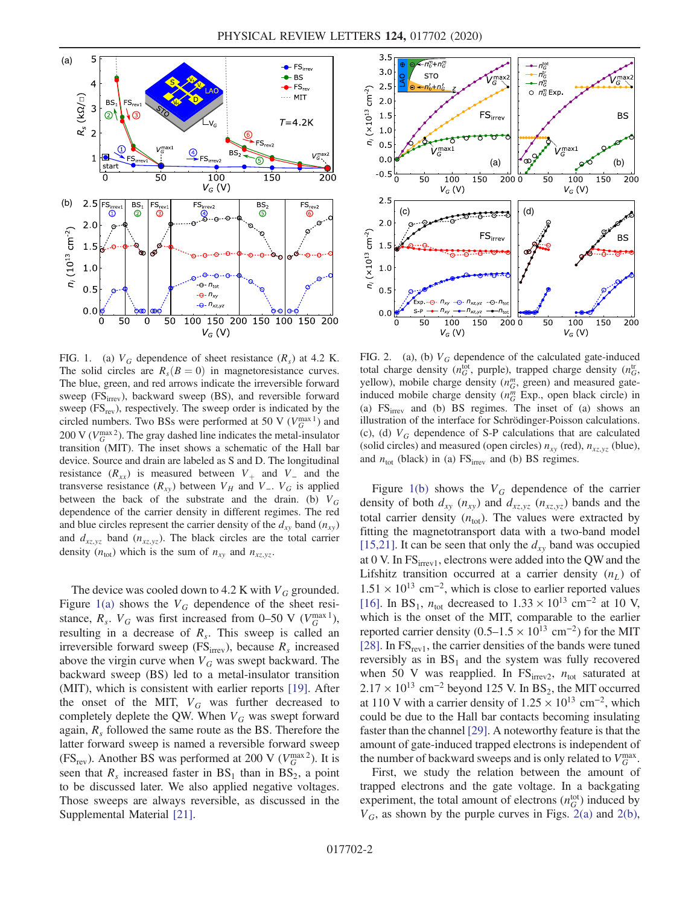<span id="page-1-0"></span>

FIG. 1. (a)  $V_G$  dependence of sheet resistance  $(R_s)$  at 4.2 K. The solid circles are  $R_s(B = 0)$  in magnetoresistance curves. The blue, green, and red arrows indicate the irreversible forward sweep (FS<sub>irrev</sub>), backward sweep (BS), and reversible forward sweep  $(FS_{rev})$ , respectively. The sweep order is indicated by the circled numbers. Two BSs were performed at 50 V ( $V_G^{\text{max }1}$ ) and 200 V ( $V_G^{\text{max }2}$ ). The gray dashed line indicates the metal-insulator transition (MIT). The inset shows a schematic of the Hall bar device. Source and drain are labeled as S and D. The longitudinal resistance  $(R_{xx})$  is measured between  $V_{+}$  and  $V_{-}$  and the transverse resistance  $(R_{xy})$  between  $V_H$  and  $V_H$ .  $V_G$  is applied between the back of the substrate and the drain. (b)  $V_G$ dependence of the carrier density in different regimes. The red and blue circles represent the carrier density of the  $d_{xy}$  band  $(n_{xy})$ and  $d_{xz,yz}$  band  $(n_{xz,yz})$ . The black circles are the total carrier density  $(n_{\text{tot}})$  which is the sum of  $n_{xy}$  and  $n_{xz,yz}$ .

The device was cooled down to 4.2 K with  $V_G$  grounded. Figure [1\(a\)](#page-1-0) shows the  $V_G$  dependence of the sheet resistance,  $R_s$ .  $V_G$  was first increased from 0–50 V ( $V_G^{\text{max }1}$ ), resulting in a decrease of  $R<sub>s</sub>$ . This sweep is called an irreversible forward sweep (FS<sub>irrev</sub>), because  $R_s$  increased above the virgin curve when  $V_G$  was swept backward. The backward sweep (BS) led to a metal-insulator transition (MIT), which is consistent with earlier reports [\[19\]](#page-4-12). After the onset of the MIT,  $V_G$  was further decreased to completely deplete the QW. When  $V_G$  was swept forward again,  $R_s$  followed the same route as the BS. Therefore the latter forward sweep is named a reversible forward sweep (FS<sub>rev</sub>). Another BS was performed at 200 V ( $V_G^{\text{max }2}$ ). It is seen that  $R_s$  increased faster in  $BS_1$  than in  $BS_2$ , a point to be discussed later. We also applied negative voltages. Those sweeps are always reversible, as discussed in the Supplemental Material [\[21\].](#page-4-11)

<span id="page-1-1"></span>

FIG. 2. (a), (b)  $V_G$  dependence of the calculated gate-induced total charge density ( $n_G^{\text{tot}}$ , purple), trapped charge density ( $n_G^{\text{tr}}$ , yellow), mobile charge density  $(n_G^m, \text{green})$  and measured gateinduced mobile charge density  $(n_G^m)$  Exp., open black circle) in (a)  $FS<sub>irrev</sub>$  and (b) BS regimes. The inset of (a) shows an illustration of the interface for Schrödinger-Poisson calculations. (c), (d)  $V_G$  dependence of S-P calculations that are calculated (solid circles) and measured (open circles)  $n_{xy}$  (red),  $n_{xz,yz}$  (blue), and  $n_{\text{tot}}$  (black) in (a) FS<sub>irrev</sub> and (b) BS regimes.

Figure [1\(b\)](#page-1-0) shows the  $V_G$  dependence of the carrier density of both  $d_{xy}$  ( $n_{xy}$ ) and  $d_{xz,yz}$  ( $n_{xz,yz}$ ) bands and the total carrier density  $(n<sub>tot</sub>)$ . The values were extracted by fitting the magnetotransport data with a two-band model [\[15,21\]](#page-4-13). It can be seen that only the  $d_{xy}$  band was occupied at 0 V. In  $FS<sub>irrev1</sub>$ , electrons were added into the QW and the Lifshitz transition occurred at a carrier density  $(n_L)$  of  $1.51 \times 10^{13}$  cm<sup>-2</sup>, which is close to earlier reported values [\[16\]](#page-4-9). In BS<sub>1</sub>,  $n_{\text{tot}}$  decreased to  $1.33 \times 10^{13}$  cm<sup>-2</sup> at 10 V, which is the onset of the MIT, comparable to the earlier reported carrier density (0.5–1.5  $\times$  10<sup>13</sup> cm<sup>-2</sup>) for the MIT [\[28\]](#page-5-2). In  $FS_{rev1}$ , the carrier densities of the bands were tuned reversibly as in  $BS_1$  and the system was fully recovered when 50 V was reapplied. In  $FS<sub>irrev2</sub>$ ,  $n_{tot}$  saturated at  $2.17 \times 10^{13}$  cm<sup>-2</sup> beyond 125 V. In BS<sub>2</sub>, the MIT occurred at 110 V with a carrier density of  $1.25 \times 10^{13}$  cm<sup>-2</sup>, which could be due to the Hall bar contacts becoming insulating faster than the channel [\[29\]](#page-5-3). A noteworthy feature is that the amount of gate-induced trapped electrons is independent of the number of backward sweeps and is only related to  $V_G^{\text{max}}$ .

First, we study the relation between the amount of trapped electrons and the gate voltage. In a backgating experiment, the total amount of electrons  $(n_G^{\text{tot}})$  induced by  $V_G$ , as shown by the purple curves in Figs. [2\(a\)](#page-1-1) and [2\(b\)](#page-1-1),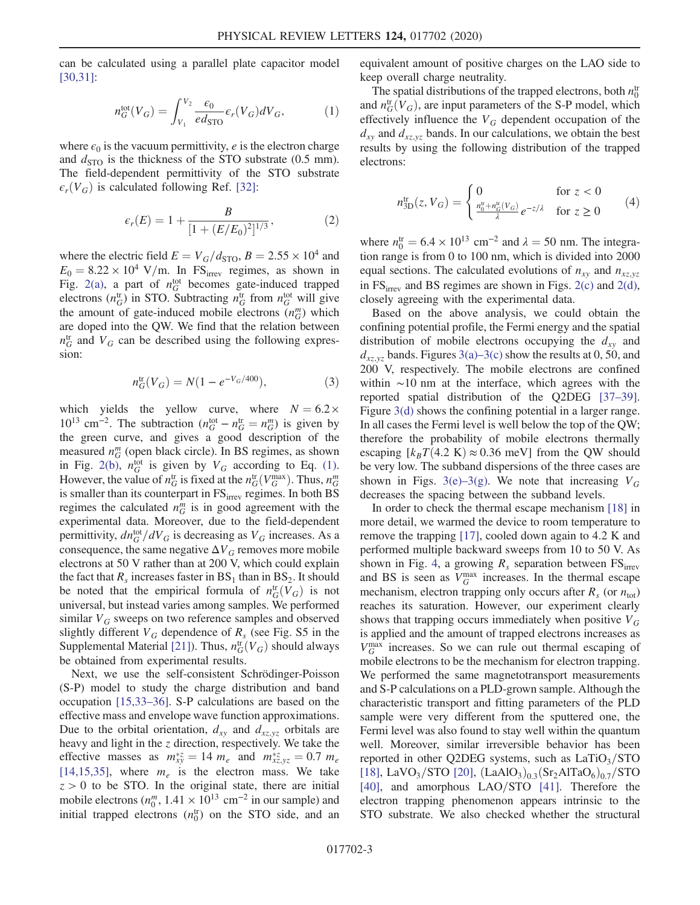<span id="page-2-0"></span>can be calculated using a parallel plate capacitor model [\[30,31\]](#page-5-4):

$$
n_G^{\text{tot}}(V_G) = \int_{V_1}^{V_2} \frac{\epsilon_0}{ed_{\text{STO}}} \epsilon_r(V_G) dV_G,\tag{1}
$$

where  $\epsilon_0$  is the vacuum permittivity, *e* is the electron charge and  $d_{\text{STO}}$  is the thickness of the STO substrate (0.5 mm). The field-dependent permittivity of the STO substrate  $\epsilon_r(V_G)$  is calculated following Ref. [\[32\]:](#page-5-5)

$$
\epsilon_r(E) = 1 + \frac{B}{[1 + (E/E_0)^2]^{1/3}},\tag{2}
$$

where the electric field  $E = V_G/d_{\text{STO}}$ ,  $B = 2.55 \times 10^4$  and  $E_0 = 8.22 \times 10^4$  V/m. In FS<sub>irrev</sub> regimes, as shown in Fig. [2\(a\),](#page-1-1) a part of  $n_G^{\text{tot}}$  becomes gate-induced trapped electrons  $(n_G^{\text{tr}})$  in STO. Subtracting  $n_G^{\text{tr}}$  from  $n_G^{\text{tot}}$  will give the amount of gate-induced mobile electrons  $(n_G^m)$  which are doped into the QW. We find that the relation between  $n_G^{\text{tr}}$  and  $V_G$  can be described using the following expression:

$$
n_G^{\text{tr}}(V_G) = N(1 - e^{-V_G/400}),\tag{3}
$$

which yields the yellow curve, where  $N = 6.2 \times$  $10^{13}$  cm<sup>-2</sup>. The subtraction  $(n_G^{\text{tot}} - n_G^{\text{tr}} = n_G^m)$  is given by the green curve, and gives a good description of the measured  $n_G^m$  (open black circle). In BS regimes, as shown in Fig. [2\(b\),](#page-1-1)  $n_G^{\text{tot}}$  is given by  $V_G$  according to Eq. [\(1\)](#page-2-0). However, the value of  $n_G^{\text{tr}}$  is fixed at the  $n_G^{\text{tr}}(V_G^{\text{max}})$ . Thus,  $n_G^m$ is smaller than its counterpart in  $FS<sub>irrev</sub>$  regimes. In both BS regimes the calculated  $n_G^m$  is in good agreement with the experimental data. Moreover, due to the field-dependent permittivity,  $dn_G^{\text{tot}}/dV_G$  is decreasing as  $V_G$  increases. As a consequence, the same negative  $\Delta V_G$  removes more mobile electrons at 50 V rather than at 200 V, which could explain the fact that  $R_s$  increases faster in  $BS_1$  than in  $BS_2$ . It should be noted that the empirical formula of  $n_G^{\text{tr}}(V_G)$  is not universal, but instead varies among samples. We performed similar  $V_G$  sweeps on two reference samples and observed slightly different  $V_G$  dependence of  $R_s$  (see Fig. S5 in the Supplemental Material [\[21\]\)](#page-4-11). Thus,  $n_G^{\text{tr}}(V_G)$  should always be obtained from experimental results.

Next, we use the self-consistent Schrödinger-Poisson (S-P) model to study the charge distribution and band occupation [\[15,33](#page-4-13)–36]. S-P calculations are based on the effective mass and envelope wave function approximations. Due to the orbital orientation,  $d_{xy}$  and  $d_{xz,yz}$  orbitals are heavy and light in the  $z$  direction, respectively. We take the effective masses as  $m_{xy}^{*z} = 14 m_e$  and  $m_{xz,yz}^{*z} = 0.7 m_e$ [\[14,15,35\]](#page-4-14), where  $m_e$  is the electron mass. We take  $z > 0$  to be STO. In the original state, there are initial mobile electrons  $(n_0^m, 1.41 \times 10^{13} \text{ cm}^{-2} \text{ in our sample})$  and initial trapped electrons  $(n_0^{\text{tr}})$  on the STO side, and an equivalent amount of positive charges on the LAO side to keep overall charge neutrality.

The spatial distributions of the trapped electrons, both  $n_0^{\text{tr}}$ and  $n_G^{\text{tr}}(V_G)$ , are input parameters of the S-P model, which effectively influence the  $V_G$  dependent occupation of the  $d_{xy}$  and  $d_{xz,yz}$  bands. In our calculations, we obtain the best results by using the following distribution of the trapped electrons:

$$
n_{3D}^{\text{tr}}(z, V_G) = \begin{cases} 0 & \text{for } z < 0\\ \frac{n_0^{\text{tr}} + n_G^{\text{tr}}(V_G)}{\lambda} e^{-z/\lambda} & \text{for } z \ge 0 \end{cases} \tag{4}
$$

where  $n_0^{\text{tr}} = 6.4 \times 10^{13} \text{ cm}^{-2}$  and  $\lambda = 50 \text{ nm}$ . The integration range is from 0 to 100 nm, which is divided into 2000 equal sections. The calculated evolutions of  $n_{xy}$  and  $n_{xz,yz}$ in  $FS<sub>irrev</sub>$  and BS regimes are shown in Figs. [2\(c\)](#page-1-1) and [2\(d\)](#page-1-1), closely agreeing with the experimental data.

Based on the above analysis, we could obtain the confining potential profile, the Fermi energy and the spatial distribution of mobile electrons occupying the  $d_{xy}$  and  $d_{xz,yz}$  bands. Figures [3\(a\)](#page-3-0)–3(c) show the results at 0, 50, and 200 V, respectively. The mobile electrons are confined within ∼10 nm at the interface, which agrees with the reported spatial distribution of the Q2DEG [\[37](#page-5-6)–39]. Figure [3\(d\)](#page-3-0) shows the confining potential in a larger range. In all cases the Fermi level is well below the top of the QW; therefore the probability of mobile electrons thermally escaping  $[k_B T(4.2 \text{ K}) \approx 0.36 \text{ meV}]$  from the QW should be very low. The subband dispersions of the three cases are shown in Figs. 3(e)–[3\(g\).](#page-3-0) We note that increasing  $V_G$ decreases the spacing between the subband levels.

In order to check the thermal escape mechanism [\[18\]](#page-4-10) in more detail, we warmed the device to room temperature to remove the trapping [\[17\]](#page-4-15), cooled down again to 4.2 K and performed multiple backward sweeps from 10 to 50 V. As shown in Fig. [4,](#page-3-1) a growing  $R_s$  separation between  $FS<sub>irrev</sub>$ and BS is seen as  $V_G^{\text{max}}$  increases. In the thermal escape mechanism, electron trapping only occurs after  $R_s$  (or  $n_{\text{tot}}$ ) reaches its saturation. However, our experiment clearly shows that trapping occurs immediately when positive  $V_G$ is applied and the amount of trapped electrons increases as  $V_G^{\text{max}}$  increases. So we can rule out thermal escaping of mobile electrons to be the mechanism for electron trapping. We performed the same magnetotransport measurements and S-P calculations on a PLD-grown sample. Although the characteristic transport and fitting parameters of the PLD sample were very different from the sputtered one, the Fermi level was also found to stay well within the quantum well. Moreover, similar irreversible behavior has been reported in other Q2DEG systems, such as  $LaTiO<sub>3</sub>/STO$ [\[18\]](#page-4-10), LaVO<sub>3</sub>/STO [\[20\]](#page-4-16),  $(LaAlO<sub>3</sub>)<sub>0.3</sub>(Sr<sub>2</sub>AlTaO<sub>6</sub>)<sub>0.7</sub>/STO$ [\[40\]](#page-5-7), and amorphous  $LAO/STO$  [\[41\]](#page-5-8). Therefore the electron trapping phenomenon appears intrinsic to the STO substrate. We also checked whether the structural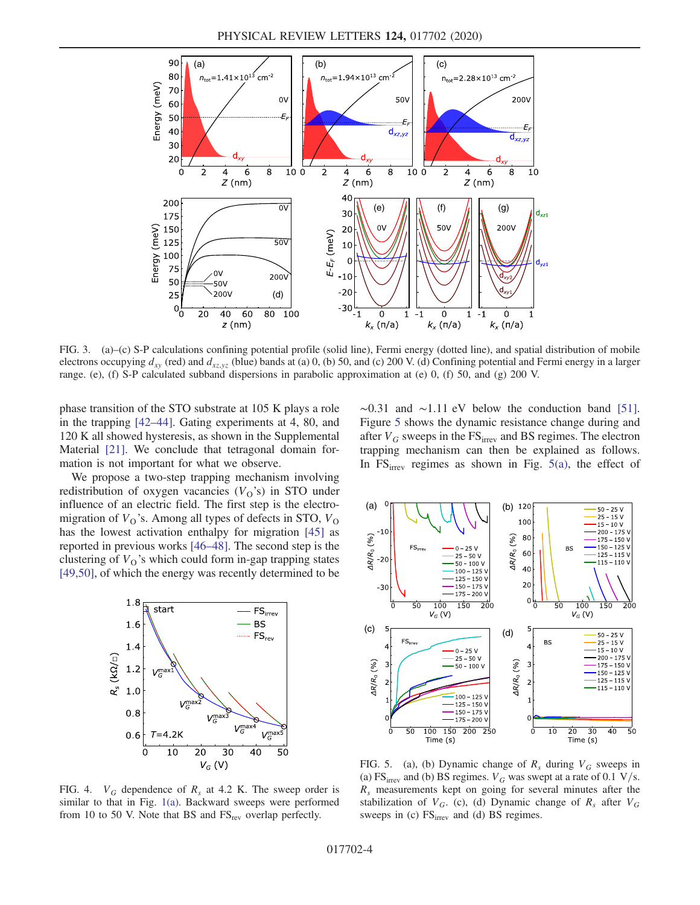<span id="page-3-0"></span>

FIG. 3. (a)–(c) S-P calculations confining potential profile (solid line), Fermi energy (dotted line), and spatial distribution of mobile electrons occupying  $d_{xy}$  (red) and  $d_{xz,yz}$  (blue) bands at (a) 0, (b) 50, and (c) 200 V. (d) Confining potential and Fermi energy in a larger range. (e), (f) S-P calculated subband dispersions in parabolic approximation at (e) 0, (f) 50, and (g) 200 V.

phase transition of the STO substrate at 105 K plays a role in the trapping [42–[44\].](#page-5-9) Gating experiments at 4, 80, and 120 K all showed hysteresis, as shown in the Supplemental Material [\[21\]](#page-4-11). We conclude that tetragonal domain formation is not important for what we observe.

We propose a two-step trapping mechanism involving redistribution of oxygen vacancies  $(V_0)$ 's) in STO under influence of an electric field. The first step is the electromigration of  $V<sub>O</sub>$ 's. Among all types of defects in STO,  $V<sub>O</sub>$ has the lowest activation enthalpy for migration [\[45\]](#page-5-10) as reported in previous works [46–[48\]](#page-5-11). The second step is the clustering of  $V<sub>0</sub>$ 's which could form in-gap trapping states [\[49,50\]](#page-5-12), of which the energy was recently determined to be

<span id="page-3-1"></span>

FIG. 4.  $V_G$  dependence of  $R_s$  at 4.2 K. The sweep order is similar to that in Fig. [1\(a\)](#page-1-0). Backward sweeps were performed from 10 to 50 V. Note that BS and  $FS_{rev}$  overlap perfectly.

 $~\sim$ 0.31 and  $~\sim$ 1.11 eV below the conduction band [\[51\]](#page-5-13). Figure [5](#page-3-2) shows the dynamic resistance change during and after  $V_G$  sweeps in the  $FS_{irrev}$  and BS regimes. The electron trapping mechanism can then be explained as follows. In  $FS<sub>irrev</sub>$  regimes as shown in Fig. [5\(a\),](#page-3-2) the effect of

<span id="page-3-2"></span>

FIG. 5. (a), (b) Dynamic change of  $R_s$  during  $V_G$  sweeps in (a) FS<sub>irrev</sub> and (b) BS regimes.  $V_G$  was swept at a rate of 0.1 V/s.  $R<sub>s</sub>$  measurements kept on going for several minutes after the stabilization of  $V_G$ . (c), (d) Dynamic change of  $R_s$  after  $V_G$ sweeps in (c)  $FS<sub>irrev</sub>$  and (d) BS regimes.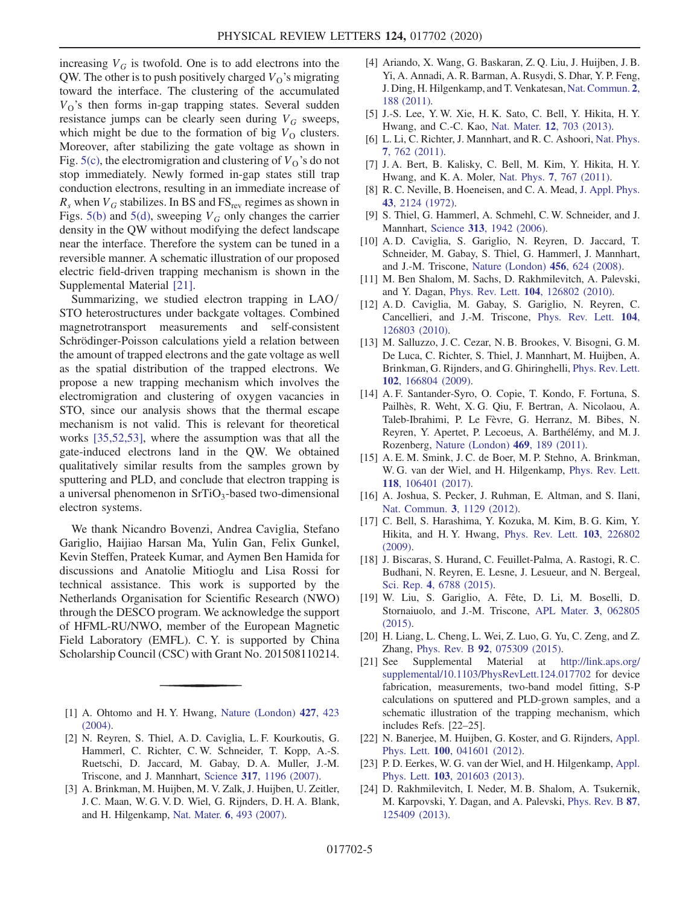increasing  $V_G$  is twofold. One is to add electrons into the QW. The other is to push positively charged  $V<sub>O</sub>$ 's migrating toward the interface. The clustering of the accumulated  $V<sub>O</sub>$ 's then forms in-gap trapping states. Several sudden resistance jumps can be clearly seen during  $V_G$  sweeps, which might be due to the formation of big  $V<sub>O</sub>$  clusters. Moreover, after stabilizing the gate voltage as shown in Fig. [5\(c\)](#page-3-2), the electromigration and clustering of  $V<sub>O</sub>$ 's do not stop immediately. Newly formed in-gap states still trap conduction electrons, resulting in an immediate increase of  $R_s$  when  $V_G$  stabilizes. In BS and FS<sub>rev</sub> regimes as shown in Figs. [5\(b\)](#page-3-2) and [5\(d\),](#page-3-2) sweeping  $V_G$  only changes the carrier density in the QW without modifying the defect landscape near the interface. Therefore the system can be tuned in a reversible manner. A schematic illustration of our proposed electric field-driven trapping mechanism is shown in the Supplemental Material [\[21\].](#page-4-11)

Summarizing, we studied electron trapping in LAO/ STO heterostructures under backgate voltages. Combined magnetrotransport measurements and self-consistent Schrödinger-Poisson calculations yield a relation between the amount of trapped electrons and the gate voltage as well as the spatial distribution of the trapped electrons. We propose a new trapping mechanism which involves the electromigration and clustering of oxygen vacancies in STO, since our analysis shows that the thermal escape mechanism is not valid. This is relevant for theoretical works [\[35,52,53\]](#page-5-14), where the assumption was that all the gate-induced electrons land in the QW. We obtained qualitatively similar results from the samples grown by sputtering and PLD, and conclude that electron trapping is a universal phenomenon in  $SrTiO<sub>3</sub>$ -based two-dimensional electron systems.

We thank Nicandro Bovenzi, Andrea Caviglia, Stefano Gariglio, Haijiao Harsan Ma, Yulin Gan, Felix Gunkel, Kevin Steffen, Prateek Kumar, and Aymen Ben Hamida for discussions and Anatolie Mitioglu and Lisa Rossi for technical assistance. This work is supported by the Netherlands Organisation for Scientific Research (NWO) through the DESCO program. We acknowledge the support of HFML-RU/NWO, member of the European Magnetic Field Laboratory (EMFL). C. Y. is supported by China Scholarship Council (CSC) with Grant No. 201508110214.

- <span id="page-4-1"></span><span id="page-4-0"></span>[1] A. Ohtomo and H.Y. Hwang, [Nature \(London\)](https://doi.org/10.1038/nature02308) 427, 423 [\(2004\).](https://doi.org/10.1038/nature02308)
- <span id="page-4-2"></span>[2] N. Reyren, S. Thiel, A. D. Caviglia, L. F. Kourkoutis, G. Hammerl, C. Richter, C. W. Schneider, T. Kopp, A.-S. Ruetschi, D. Jaccard, M. Gabay, D. A. Muller, J.-M. Triscone, and J. Mannhart, Science 317[, 1196 \(2007\).](https://doi.org/10.1126/science.1146006)
- [3] A. Brinkman, M. Huijben, M. V. Zalk, J. Huijben, U. Zeitler, J. C. Maan, W. G. V. D. Wiel, G. Rijnders, D. H. A. Blank, and H. Hilgenkamp, Nat. Mater. 6[, 493 \(2007\).](https://doi.org/10.1038/nmat1931)
- [4] Ariando, X. Wang, G. Baskaran, Z. Q. Liu, J. Huijben, J. B. Yi, A. Annadi, A. R. Barman, A. Rusydi, S. Dhar, Y. P. Feng, J. Ding, H. Hilgenkamp, and T. Venkatesan, [Nat. Commun.](https://doi.org/10.1038/ncomms1192) 2, [188 \(2011\).](https://doi.org/10.1038/ncomms1192)
- [5] J.-S. Lee, Y. W. Xie, H. K. Sato, C. Bell, Y. Hikita, H. Y. Hwang, and C.-C. Kao, Nat. Mater. 12[, 703 \(2013\).](https://doi.org/10.1038/nmat3674)
- <span id="page-4-3"></span>[6] L. Li, C. Richter, J. Mannhart, and R. C. Ashoori, [Nat. Phys.](https://doi.org/10.1038/nphys2080) 7[, 762 \(2011\).](https://doi.org/10.1038/nphys2080)
- [7] J. A. Bert, B. Kalisky, C. Bell, M. Kim, Y. Hikita, H. Y. Hwang, and K. A. Moler, Nat. Phys. 7[, 767 \(2011\)](https://doi.org/10.1038/nphys2079).
- <span id="page-4-4"></span>[8] R. C. Neville, B. Hoeneisen, and C. A. Mead, [J. Appl. Phys.](https://doi.org/10.1063/1.1661463) 43[, 2124 \(1972\)](https://doi.org/10.1063/1.1661463). [9] S. Thiel, G. Hammerl, A. Schmehl, C. W. Schneider, and J.
- <span id="page-4-5"></span>Mannhart, Science 313[, 1942 \(2006\)](https://doi.org/10.1126/science.1131091).
- <span id="page-4-6"></span>[10] A. D. Caviglia, S. Gariglio, N. Reyren, D. Jaccard, T. Schneider, M. Gabay, S. Thiel, G. Hammerl, J. Mannhart, and J.-M. Triscone, [Nature \(London\)](https://doi.org/10.1038/nature07576) 456, 624 (2008).
- <span id="page-4-7"></span>[11] M. Ben Shalom, M. Sachs, D. Rakhmilevitch, A. Palevski, and Y. Dagan, Phys. Rev. Lett. 104[, 126802 \(2010\).](https://doi.org/10.1103/PhysRevLett.104.126802)
- [12] A. D. Caviglia, M. Gabay, S. Gariglio, N. Reyren, C. Cancellieri, and J.-M. Triscone, [Phys. Rev. Lett.](https://doi.org/10.1103/PhysRevLett.104.126803) 104, [126803 \(2010\).](https://doi.org/10.1103/PhysRevLett.104.126803)
- <span id="page-4-8"></span>[13] M. Salluzzo, J. C. Cezar, N. B. Brookes, V. Bisogni, G. M. De Luca, C. Richter, S. Thiel, J. Mannhart, M. Huijben, A. Brinkman, G. Rijnders, and G. Ghiringhelli, [Phys. Rev. Lett.](https://doi.org/10.1103/PhysRevLett.102.166804) 102[, 166804 \(2009\).](https://doi.org/10.1103/PhysRevLett.102.166804)
- <span id="page-4-14"></span>[14] A. F. Santander-Syro, O. Copie, T. Kondo, F. Fortuna, S. Pailh`es, R. Weht, X. G. Qiu, F. Bertran, A. Nicolaou, A. Taleb-Ibrahimi, P. Le Fèvre, G. Herranz, M. Bibes, N. Reyren, Y. Apertet, P. Lecoeus, A. Barthélémy, and M. J. Rozenberg, [Nature \(London\)](https://doi.org/10.1038/nature09720) 469, 189 (2011).
- <span id="page-4-13"></span>[15] A. E. M. Smink, J. C. de Boer, M. P. Stehno, A. Brinkman, W. G. van der Wiel, and H. Hilgenkamp, [Phys. Rev. Lett.](https://doi.org/10.1103/PhysRevLett.118.106401) 118[, 106401 \(2017\).](https://doi.org/10.1103/PhysRevLett.118.106401)
- <span id="page-4-9"></span>[16] A. Joshua, S. Pecker, J. Ruhman, E. Altman, and S. Ilani, [Nat. Commun.](https://doi.org/10.1038/ncomms2116) <sup>3</sup>, 1129 (2012).
- <span id="page-4-15"></span>[17] C. Bell, S. Harashima, Y. Kozuka, M. Kim, B. G. Kim, Y. Hikita, and H. Y. Hwang, [Phys. Rev. Lett.](https://doi.org/10.1103/PhysRevLett.103.226802) 103, 226802 [\(2009\).](https://doi.org/10.1103/PhysRevLett.103.226802)
- <span id="page-4-10"></span>[18] J. Biscaras, S. Hurand, C. Feuillet-Palma, A. Rastogi, R. C. Budhani, N. Reyren, E. Lesne, J. Lesueur, and N. Bergeal, Sci. Rep. 4[, 6788 \(2015\)](https://doi.org/10.1038/srep06788).
- <span id="page-4-12"></span>[19] W. Liu, S. Gariglio, A. Fête, D. Li, M. Boselli, D. Stornaiuolo, and J.-M. Triscone, [APL Mater.](https://doi.org/10.1063/1.4921068) 3, 062805 [\(2015\).](https://doi.org/10.1063/1.4921068)
- <span id="page-4-16"></span>[20] H. Liang, L. Cheng, L. Wei, Z. Luo, G. Yu, C. Zeng, and Z. Zhang, Phys. Rev. B 92[, 075309 \(2015\).](https://doi.org/10.1103/PhysRevB.92.075309)<br>[21] See Supplemental Material at h
- <span id="page-4-11"></span>Supplemental Material at [http://link.aps.org/](http://link.aps.org/supplemental/10.1103/PhysRevLett.124.017702) [supplemental/10.1103/PhysRevLett.124.017702](http://link.aps.org/supplemental/10.1103/PhysRevLett.124.017702) for device fabrication, measurements, two-band model fitting, S-P calculations on sputtered and PLD-grown samples, and a schematic illustration of the trapping mechanism, which includes Refs. [22–25].
- [22] N. Banerjee, M. Huijben, G. Koster, and G. Rijnders, [Appl.](https://doi.org/10.1063/1.3679379) Phys. Lett. 100[, 041601 \(2012\).](https://doi.org/10.1063/1.3679379)
- [23] P. D. Eerkes, W. G. van der Wiel, and H. Hilgenkamp, [Appl.](https://doi.org/10.1063/1.4829555) Phys. Lett. 103[, 201603 \(2013\).](https://doi.org/10.1063/1.4829555)
- [24] D. Rakhmilevitch, I. Neder, M. B. Shalom, A. Tsukernik, M. Karpovski, Y. Dagan, and A. Palevski, [Phys. Rev. B](https://doi.org/10.1103/PhysRevB.87.125409) 87, [125409 \(2013\).](https://doi.org/10.1103/PhysRevB.87.125409)